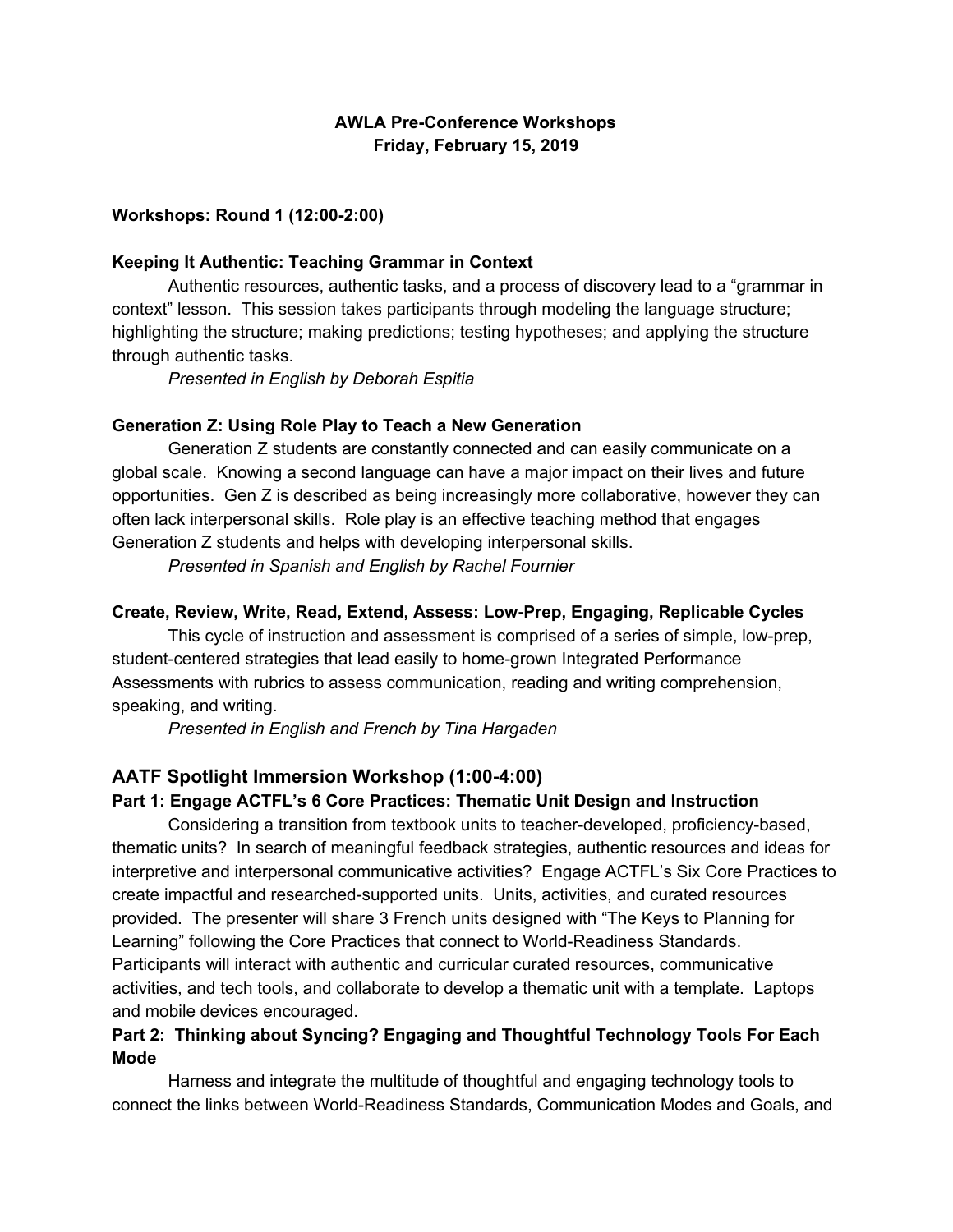# **AWLA Pre-Conference Workshops Friday, February 15, 2019**

#### **Workshops: Round 1 (12:00-2:00)**

#### **Keeping It Authentic: Teaching Grammar in Context**

Authentic resources, authentic tasks, and a process of discovery lead to a "grammar in context" lesson. This session takes participants through modeling the language structure; highlighting the structure; making predictions; testing hypotheses; and applying the structure through authentic tasks.

*Presented in English by Deborah Espitia*

#### **Generation Z: Using Role Play to Teach a New Generation**

Generation Z students are constantly connected and can easily communicate on a global scale. Knowing a second language can have a major impact on their lives and future opportunities. Gen Z is described as being increasingly more collaborative, however they can often lack interpersonal skills. Role play is an effective teaching method that engages Generation Z students and helps with developing interpersonal skills.

*Presented in Spanish and English by Rachel Fournier*

#### **Create, Review, Write, Read, Extend, Assess: Low-Prep, Engaging, Replicable Cycles**

This cycle of instruction and assessment is comprised of a series of simple, low-prep, student-centered strategies that lead easily to home-grown Integrated Performance Assessments with rubrics to assess communication, reading and writing comprehension, speaking, and writing.

*Presented in English and French by Tina Hargaden*

#### **AATF Spotlight Immersion Workshop (1:00-4:00)**

#### **Part 1: Engage ACTFL's 6 Core Practices: Thematic Unit Design and Instruction**

Considering a transition from textbook units to teacher-developed, proficiency-based, thematic units? In search of meaningful feedback strategies, authentic resources and ideas for interpretive and interpersonal communicative activities? Engage ACTFL's Six Core Practices to create impactful and researched-supported units. Units, activities, and curated resources provided. The presenter will share 3 French units designed with "The Keys to Planning for Learning" following the Core Practices that connect to World-Readiness Standards. Participants will interact with authentic and curricular curated resources, communicative activities, and tech tools, and collaborate to develop a thematic unit with a template. Laptops and mobile devices encouraged.

# **Part 2: Thinking about Syncing? Engaging and Thoughtful Technology Tools For Each Mode**

Harness and integrate the multitude of thoughtful and engaging technology tools to connect the links between World-Readiness Standards, Communication Modes and Goals, and